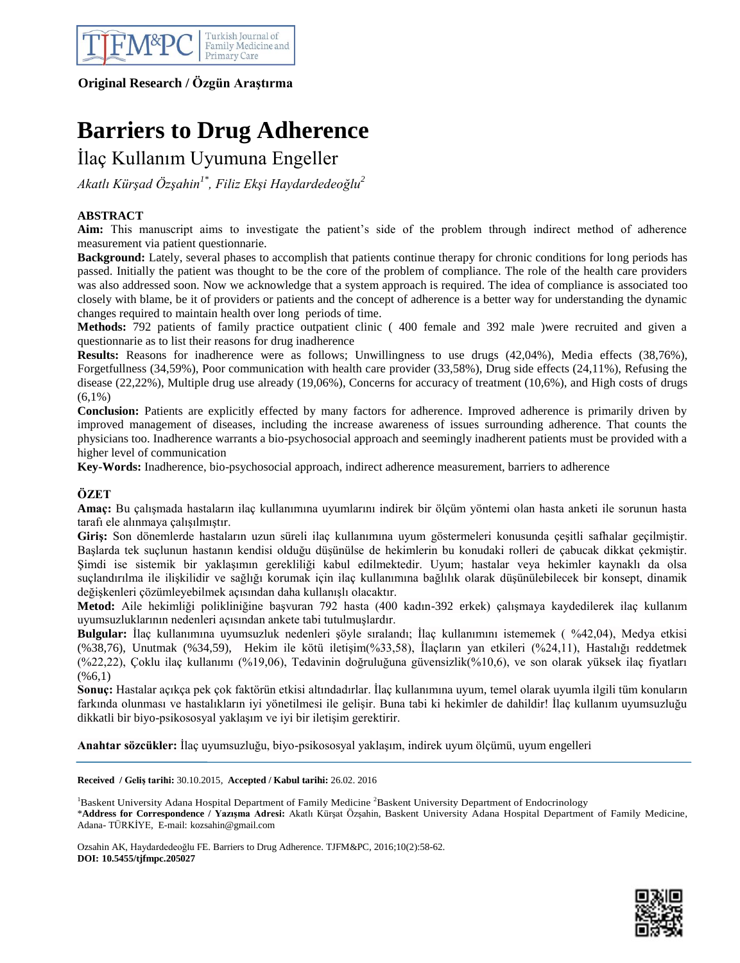

# **Original Research / Özgün Araştırma**

# **Barriers to Drug Adherence**

İlaç Kullanım Uyumuna Engeller

*Akatlı Kürşad Özşahin1\* , Filiz Ekşi Haydardedeoğlu<sup>2</sup>*

# **ABSTRACT**

**Aim:** This manuscript aims to investigate the patient"s side of the problem through indirect method of adherence measurement via patient questionnarie.

**Background:** Lately, several phases to accomplish that patients continue therapy for chronic conditions for long periods has passed. Initially the patient was thought to be the core of the problem of compliance. The role of the health care providers was also addressed soon. Now we acknowledge that a system approach is required. The idea of compliance is associated too closely with blame, be it of providers or patients and the concept of adherence is a better way for understanding the dynamic changes required to maintain health over long periods of time.

**Methods:** 792 patients of family practice outpatient clinic ( 400 female and 392 male )were recruited and given a questionnarie as to list their reasons for drug inadherence

**Results:** Reasons for inadherence were as follows; Unwillingness to use drugs (42,04%), Media effects (38,76%), Forgetfullness (34,59%), Poor communication with health care provider (33,58%), Drug side effects (24,11%), Refusing the disease (22,22%), Multiple drug use already (19,06%), Concerns for accuracy of treatment (10,6%), and High costs of drugs  $(6,1\%)$ 

**Conclusion:** Patients are explicitly effected by many factors for adherence. Improved adherence is primarily driven by improved management of diseases, including the increase awareness of issues surrounding adherence. That counts the physicians too. Inadherence warrants a bio-psychosocial approach and seemingly inadherent patients must be provided with a higher level of communication

**Key-Words:** Inadherence, bio-psychosocial approach, indirect adherence measurement, barriers to adherence

# **ÖZET**

**Amaç:** Bu çalışmada hastaların ilaç kullanımına uyumlarını indirek bir ölçüm yöntemi olan hasta anketi ile sorunun hasta tarafı ele alınmaya çalışılmıştır.

**Giriş:** Son dönemlerde hastaların uzun süreli ilaç kullanımına uyum göstermeleri konusunda çeşitli safhalar geçilmiştir. Başlarda tek suçlunun hastanın kendisi olduğu düşünülse de hekimlerin bu konudaki rolleri de çabucak dikkat çekmiştir. Şimdi ise sistemik bir yaklaşımın gerekliliği kabul edilmektedir. Uyum; hastalar veya hekimler kaynaklı da olsa suçlandırılma ile ilişkilidir ve sağlığı korumak için ilaç kullanımına bağlılık olarak düşünülebilecek bir konsept, dinamik değişkenleri çözümleyebilmek açısından daha kullanışlı olacaktır.

**Metod:** Aile hekimliği polikliniğine başvuran 792 hasta (400 kadın-392 erkek) çalışmaya kaydedilerek ilaç kullanım uyumsuzluklarının nedenleri açısından ankete tabi tutulmuşlardır.

**Bulgular:** İlaç kullanımına uyumsuzluk nedenleri şöyle sıralandı; İlaç kullanımını istememek ( %42,04), Medya etkisi (%38,76), Unutmak (%34,59), Hekim ile kötü iletişim(%33,58), İlaçların yan etkileri (%24,11), Hastalığı reddetmek (%22,22), Çoklu ilaç kullanımı (%19,06), Tedavinin doğruluğuna güvensizlik(%10,6), ve son olarak yüksek ilaç fiyatları  $(%6,1)$ 

**Sonuç:** Hastalar açıkça pek çok faktörün etkisi altındadırlar. İlaç kullanımına uyum, temel olarak uyumla ilgili tüm konuların farkında olunması ve hastalıkların iyi yönetilmesi ile gelişir. Buna tabi ki hekimler de dahildir! İlaç kullanım uyumsuzluğu dikkatli bir biyo-psikososyal yaklaşım ve iyi bir iletişim gerektirir.

**Anahtar sözcükler:** İlaç uyumsuzluğu, biyo-psikososyal yaklaşım, indirek uyum ölçümü, uyum engelleri

**Received / Geliş tarihi:** 30.10.2015, **Accepted / Kabul tarihi:** 26.02. 2016

<sup>1</sup>Baskent University Adana Hospital Department of Family Medicine <sup>2</sup>Baskent University Department of Endocrinology \***Address for Correspondence / Yazışma Adresi:** Akatlı Kürşat Özşahin, Baskent University Adana Hospital Department of Family Medicine, Adana- TÜRKİYE, E-mail: kozsahin@gmail.com

Ozsahin AK, Haydardedeoğlu FE. Barriers to Drug Adherence. TJFM&PC, 2016;10(2):58-62. **DOI: 10.5455/tjfmpc.205027**

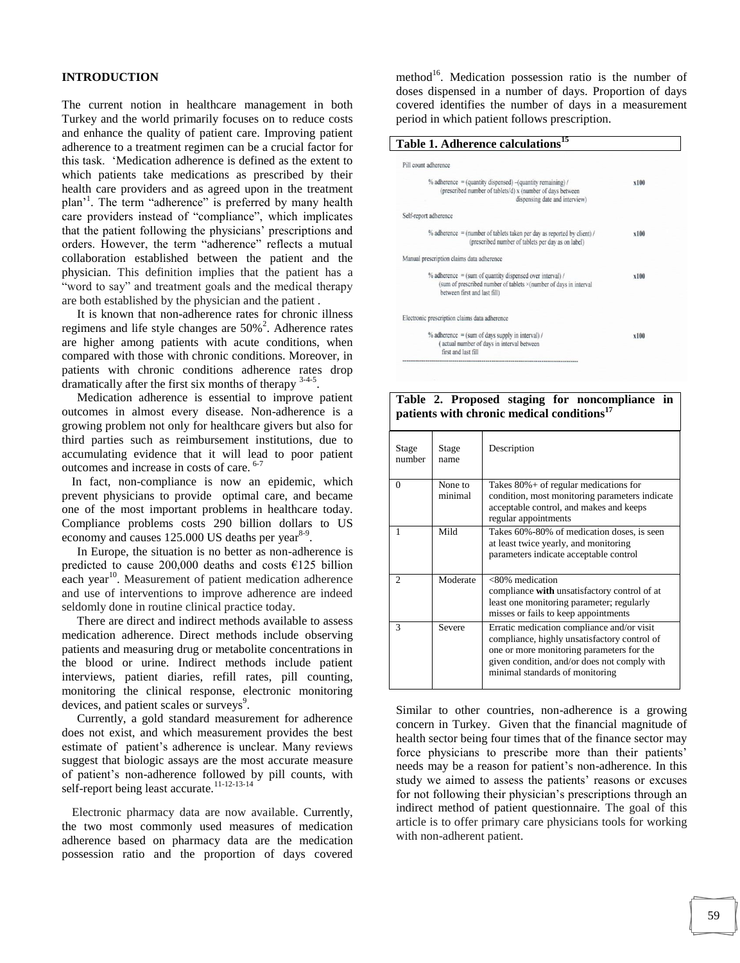#### **INTRODUCTION**

The current notion in healthcare management in both Turkey and the world primarily focuses on to reduce costs and enhance the quality of patient care. Improving patient adherence to a treatment regimen can be a crucial factor for this task. "Medication adherence is defined as the extent to which patients take medications as prescribed by their health care providers and as agreed upon in the treatment plan<sup>'1</sup>. The term "adherence" is preferred by many health care providers instead of "compliance", which implicates that the patient following the physicians' prescriptions and orders. However, the term "adherence" reflects a mutual collaboration established between the patient and the physician. This definition implies that the patient has a "word to say" and treatment goals and the medical therapy are both established by the physician and the patient .

 It is known that non-adherence rates for chronic illness regimens and life style changes are  $50\%$ <sup>2</sup>. Adherence rates are higher among patients with acute conditions, when compared with those with chronic conditions. Moreover, in patients with chronic conditions adherence rates drop dramatically after the first six months of therapy <sup>3-4-5</sup>.

 Medication adherence is essential to improve patient outcomes in almost every disease. Non-adherence is a growing problem not only for healthcare givers but also for third parties such as reimbursement institutions, due to accumulating evidence that it will lead to poor patient outcomes and increase in costs of care. <sup>6-7</sup>

 In fact, non-compliance is now an epidemic, which prevent physicians to provide optimal care, and became one of the most important problems in healthcare today. Compliance problems costs 290 billion dollars to US economy and causes  $125.000$  US deaths per year $8-9$ .

 In Europe, the situation is no better as non-adherence is predicted to cause 200,000 deaths and costs  $E125$  billion each year<sup>10</sup>. Measurement of patient medication adherence and use of interventions to improve adherence are indeed seldomly done in routine clinical practice today.

 There are direct and indirect methods available to assess medication adherence. Direct methods include observing patients and measuring drug or metabolite concentrations in the blood or urine. Indirect methods include patient interviews, patient diaries, refill rates, pill counting, monitoring the clinical response, electronic monitoring devices, and patient scales or surveys<sup>9</sup>.

 Currently, a gold standard measurement for adherence does not exist, and which measurement provides the best estimate of patient's adherence is unclear. Many reviews suggest that biologic assays are the most accurate measure of patient"s non-adherence followed by pill counts, with self-report being least accurate.<sup>11-12-13-14</sup>

 Electronic pharmacy data are now available. Currently, the two most commonly used measures of medication adherence based on pharmacy data are the medication possession ratio and the proportion of days covered

method<sup>16</sup>. Medication possession ratio is the number of doses dispensed in a number of days. Proportion of days covered identifies the number of days in a measurement period in which patient follows prescription.

## **Table 1. Adherence calculations<sup>15</sup>**

| Pill count adherence                                                                                                                                             |      |  |
|------------------------------------------------------------------------------------------------------------------------------------------------------------------|------|--|
| $%$ adherence = (quantity dispensed) $-($ quantity remaining) /<br>(prescribed number of tablets/d) x (number of days between<br>dispensing date and interview)  | x100 |  |
| Self-report adherence                                                                                                                                            |      |  |
| % adherence = (number of tablets taken per day as reported by client) /<br>(prescribed number of tablets per day as on label)                                    | x100 |  |
| Manual prescription claims data adherence                                                                                                                        |      |  |
| $%$ adherence = (sum of quantity dispensed over interval) /<br>(sum of prescribed number of tablets ×(number of days in interval<br>between first and last fill) | x100 |  |
| Electronic prescription claims data adherence                                                                                                                    |      |  |
| $%$ adherence = (sum of days supply in interval) /<br>(actual number of days in interval between<br>first and last fill                                          | x100 |  |

## **Table 2. Proposed staging for noncompliance in patients with chronic medical conditions<sup>17</sup>**

| Stage<br>number             | Stage<br>name      | Description                                                                                                                                                                                                                |
|-----------------------------|--------------------|----------------------------------------------------------------------------------------------------------------------------------------------------------------------------------------------------------------------------|
| $\Omega$                    | None to<br>minimal | Takes $80\%$ + of regular medications for<br>condition, most monitoring parameters indicate<br>acceptable control, and makes and keeps<br>regular appointments                                                             |
|                             | Mild               | Takes 60%-80% of medication doses, is seen<br>at least twice yearly, and monitoring<br>parameters indicate acceptable control                                                                                              |
| $\mathcal{D}_{\mathcal{L}}$ | Moderate           | <80% medication<br>compliance with unsatisfactory control of at<br>least one monitoring parameter; regularly<br>misses or fails to keep appointments                                                                       |
| 3                           | Severe             | Erratic medication compliance and/or visit<br>compliance, highly unsatisfactory control of<br>one or more monitoring parameters for the<br>given condition, and/or does not comply with<br>minimal standards of monitoring |

Similar to other countries, non-adherence is a growing concern in Turkey. Given that the financial magnitude of health sector being four times that of the finance sector may force physicians to prescribe more than their patients' needs may be a reason for patient's non-adherence. In this study we aimed to assess the patients' reasons or excuses for not following their physician"s prescriptions through an indirect method of patient questionnaire. The goal of this article is to offer primary care physicians tools for working with non-adherent patient.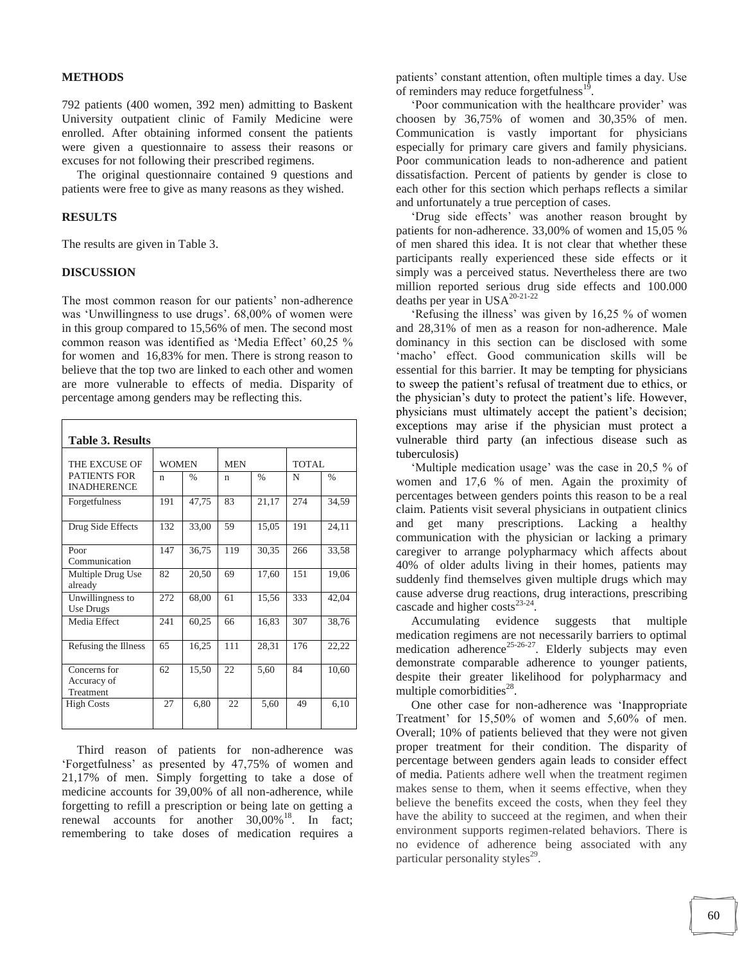#### **METHODS**

792 patients (400 women, 392 men) admitting to Baskent University outpatient clinic of Family Medicine were enrolled. After obtaining informed consent the patients were given a questionnaire to assess their reasons or excuses for not following their prescribed regimens.

 The original questionnaire contained 9 questions and patients were free to give as many reasons as they wished.

## **RESULTS**

The results are given in Table 3.

## **DISCUSSION**

The most common reason for our patients' non-adherence was 'Unwillingness to use drugs'. 68,00% of women were in this group compared to 15,56% of men. The second most common reason was identified as 'Media Effect' 60,25 % for women and 16,83% for men. There is strong reason to believe that the top two are linked to each other and women are more vulnerable to effects of media. Disparity of percentage among genders may be reflecting this.

| <b>Table 3. Results</b>                                    |              |               |            |               |       |               |  |  |  |
|------------------------------------------------------------|--------------|---------------|------------|---------------|-------|---------------|--|--|--|
| THE EXCUSE OF<br><b>PATIENTS FOR</b><br><b>INADHERENCE</b> | <b>WOMEN</b> |               | <b>MEN</b> |               | TOTAL |               |  |  |  |
|                                                            | n            | $\frac{0}{0}$ | n          | $\frac{0}{0}$ | N     | $\frac{0}{0}$ |  |  |  |
| Forgetfulness                                              | 191          | 47,75         | 83         | 21,17         | 274   | 34,59         |  |  |  |
| Drug Side Effects                                          | 132          | 33,00         | 59         | 15,05         | 191   | 24,11         |  |  |  |
| Poor<br>Communication                                      | 147          | 36,75         | 119        | 30,35         | 266   | 33,58         |  |  |  |
| Multiple Drug Use<br>already                               | 82           | 20,50         | 69         | 17,60         | 151   | 19,06         |  |  |  |
| Unwillingness to<br>Use Drugs                              | 272          | 68,00         | 61         | 15,56         | 333   | 42,04         |  |  |  |
| Media Effect                                               | 241          | 60,25         | 66         | 16,83         | 307   | 38,76         |  |  |  |
| Refusing the Illness                                       | 65           | 16,25         | 111        | 28,31         | 176   | 22,22         |  |  |  |
| Concerns for<br>Accuracy of<br>Treatment                   | 62           | 15,50         | 22         | 5,60          | 84    | 10,60         |  |  |  |
| <b>High Costs</b>                                          | 27           | 6,80          | 22         | 5,60          | 49    | 6,10          |  |  |  |

 Third reason of patients for non-adherence was "Forgetfulness" as presented by 47,75% of women and 21,17% of men. Simply forgetting to take a dose of medicine accounts for 39,00% of all non-adherence, while forgetting to refill a prescription or being late on getting a renewal accounts for another  $30,00\%$ <sup>18</sup>. In fact; remembering to take doses of medication requires a patients" constant attention, often multiple times a day. Use of reminders may reduce forgetfulness<sup>19</sup> .

 "Poor communication with the healthcare provider" was choosen by 36,75% of women and 30,35% of men. Communication is vastly important for physicians especially for primary care givers and family physicians. Poor communication leads to non-adherence and patient dissatisfaction. Percent of patients by gender is close to each other for this section which perhaps reflects a similar and unfortunately a true perception of cases.

 "Drug side effects" was another reason brought by patients for non-adherence. 33,00% of women and 15,05 % of men shared this idea. It is not clear that whether these participants really experienced these side effects or it simply was a perceived status. Nevertheless there are two million reported serious drug side effects and 100.000 deaths per year in USA20-21-22

'Refusing the illness' was given by 16,25 % of women and 28,31% of men as a reason for non-adherence. Male dominancy in this section can be disclosed with some 'macho' effect. Good communication skills will be essential for this barrier. It may be tempting for physicians to sweep the patient"s refusal of treatment due to ethics, or the physician"s duty to protect the patient"s life. However, physicians must ultimately accept the patient"s decision; exceptions may arise if the physician must protect a vulnerable third party (an infectious disease such as tuberculosis)

 "Multiple medication usage" was the case in 20,5 % of women and 17,6 % of men. Again the proximity of percentages between genders points this reason to be a real claim. Patients visit several physicians in outpatient clinics and get many prescriptions. Lacking a healthy communication with the physician or lacking a primary caregiver to arrange polypharmacy which affects about 40% of older adults living in their homes, patients may suddenly find themselves given multiple drugs which may cause adverse drug reactions, drug interactions, prescribing cascade and higher  $costs^{23-24}$ .

 Accumulating evidence suggests that multiple medication regimens are not necessarily barriers to optimal medication adherence<sup>25-26-27</sup>. Elderly subjects may even demonstrate comparable adherence to younger patients, despite their greater likelihood for polypharmacy and multiple comorbidities<sup>28</sup>.

 One other case for non-adherence was "Inappropriate Treatment' for 15,50% of women and 5,60% of men. Overall; 10% of patients believed that they were not given proper treatment for their condition. The disparity of percentage between genders again leads to consider effect of media. Patients adhere well when the treatment regimen makes sense to them, when it seems effective, when they believe the benefits exceed the costs, when they feel they have the ability to succeed at the regimen, and when their environment supports regimen-related behaviors. There is no evidence of adherence being associated with any particular personality styles<sup>29</sup>.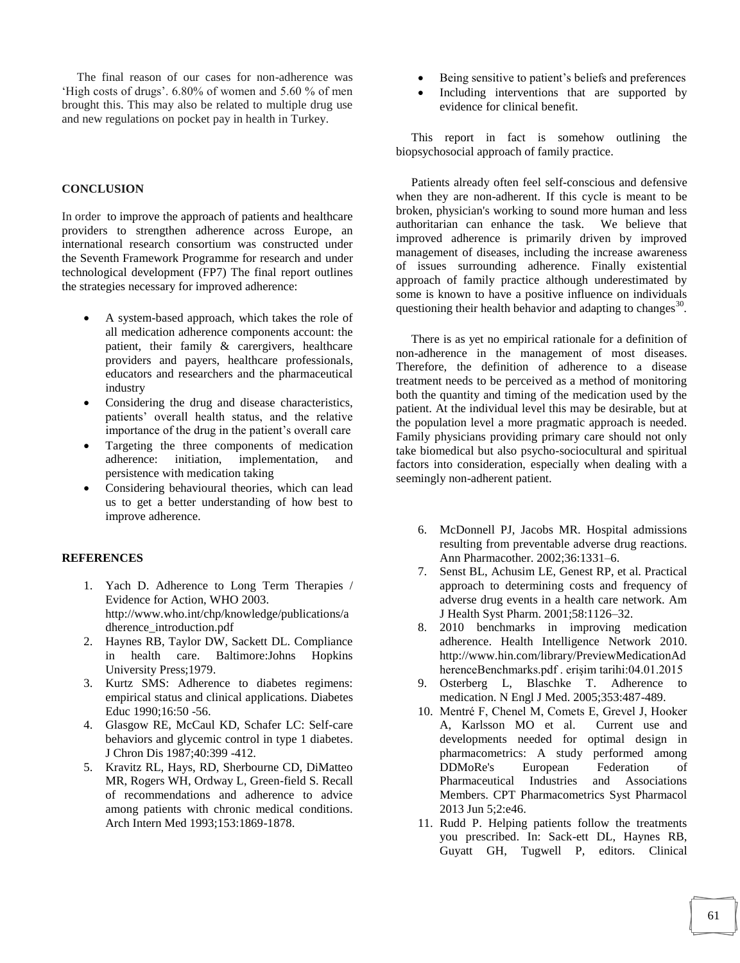The final reason of our cases for non-adherence was 'High costs of drugs'. 6.80% of women and 5.60 % of men brought this. This may also be related to multiple drug use and new regulations on pocket pay in health in Turkey.

#### **CONCLUSION**

In order to improve the approach of patients and healthcare providers to strengthen adherence across Europe, an international research consortium was constructed under the Seventh Framework Programme for research and under technological development (FP7) The final report outlines the strategies necessary for improved adherence:

- A system-based approach, which takes the role of all medication adherence components account: the patient, their family & carergivers, healthcare providers and payers, healthcare professionals, educators and researchers and the pharmaceutical industry
- Considering the drug and disease characteristics, patients" overall health status, and the relative importance of the drug in the patient's overall care
- Targeting the three components of medication adherence: initiation, implementation, and persistence with medication taking
- Considering behavioural theories, which can lead us to get a better understanding of how best to improve adherence.

#### **REFERENCES**

- 1. Yach D. Adherence to Long Term Therapies / Evidence for Action, WHO 2003. http://www.who.int/chp/knowledge/publications/a dherence\_introduction.pdf
- 2. Haynes RB, Taylor DW, Sackett DL. Compliance in health care. Baltimore:Johns Hopkins University Press;1979.
- 3. Kurtz SMS: Adherence to diabetes regimens: empirical status and clinical applications. Diabetes Educ 1990;16:50 -56.
- 4. Glasgow RE, McCaul KD, Schafer LC: Self-care behaviors and glycemic control in type 1 diabetes. J Chron Dis 1987;40:399 -412.
- 5. Kravitz RL, Hays, RD, Sherbourne CD, DiMatteo MR, Rogers WH, Ordway L, Green-field S. Recall of recommendations and adherence to advice among patients with chronic medical conditions. Arch Intern Med 1993;153:1869-1878.
- Being sensitive to patient"s beliefs and preferences
- Including interventions that are supported by evidence for clinical benefit.

 This report in fact is somehow outlining the biopsychosocial approach of family practice.

 Patients already often feel self-conscious and defensive when they are non-adherent. If this cycle is meant to be broken, physician's working to sound more human and less authoritarian can enhance the task. We believe that improved adherence is primarily driven by improved management of diseases, including the increase awareness of issues surrounding adherence. Finally existential approach of family practice although underestimated by some is known to have a positive influence on individuals questioning their health behavior and adapting to changes $^{30}$ .

 There is as yet no empirical rationale for a definition of non-adherence in the management of most diseases. Therefore, the definition of adherence to a disease treatment needs to be perceived as a method of monitoring both the quantity and timing of the medication used by the patient. At the individual level this may be desirable, but at the population level a more pragmatic approach is needed. Family physicians providing primary care should not only take biomedical but also psycho-sociocultural and spiritual factors into consideration, especially when dealing with a seemingly non-adherent patient.

- 6. McDonnell PJ, Jacobs MR. Hospital admissions resulting from preventable adverse drug reactions. Ann Pharmacother. 2002;36:1331–6.
- 7. Senst BL, Achusim LE, Genest RP, et al. Practical approach to determining costs and frequency of adverse drug events in a health care network. Am J Health Syst Pharm. 2001;58:1126–32.
- 8. 2010 benchmarks in improving medication adherence. Health Intelligence Network 2010. http://www.hin.com/library/PreviewMedicationAd herenceBenchmarks.pdf . erişim tarihi:04.01.2015
- 9. Osterberg L, Blaschke T. Adherence to medication. N Engl J Med. 2005;353:487-489.
- 10. Mentré F, Chenel M, Comets E, Grevel J, Hooker A, Karlsson MO et al. Current use and developments needed for optimal design in pharmacometrics: A study performed among DDMoRe's European Federation of Pharmaceutical Industries and Associations Members. CPT Pharmacometrics Syst Pharmacol 2013 Jun 5;2:e46.
- 11. Rudd P. Helping patients follow the treatments you prescribed. In: Sack-ett DL, Haynes RB, Guyatt GH, Tugwell P, editors. Clinical